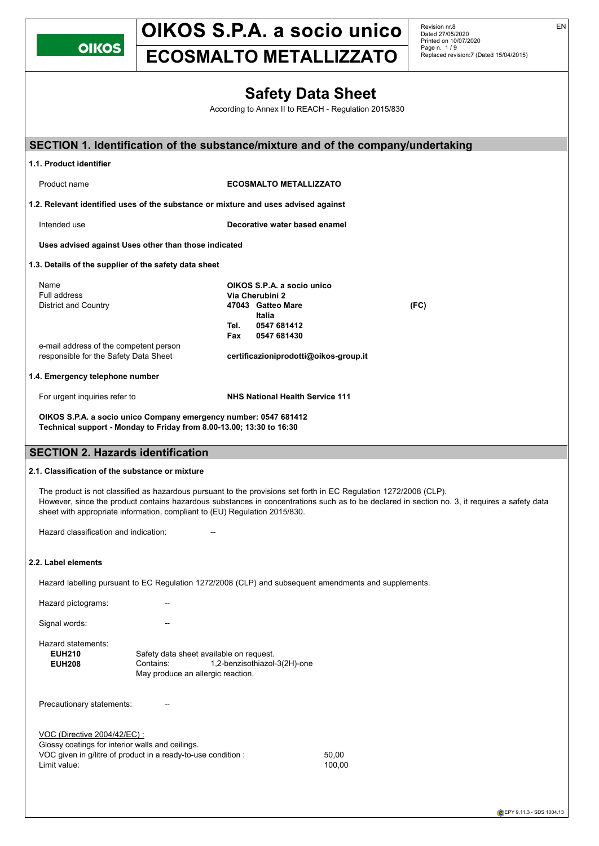Revision nr.8 Dated 27/05/2020 Printed on 10/07/2020 Page n. 1 / 9 Replaced revision:7 (Dated 15/04/2015)

# **ECOSMALTO METALLIZZATO**

| <b>Safety Data Sheet</b> |  |  |
|--------------------------|--|--|
|--------------------------|--|--|

According to Annex II to REACH - Regulation 2015/830

| SECTION 1. Identification of the substance/mixture and of the company/undertaking                                                                                 |                                                                                           |                                                                                                     |                                                                                                                                                                                                                                                                    |  |
|-------------------------------------------------------------------------------------------------------------------------------------------------------------------|-------------------------------------------------------------------------------------------|-----------------------------------------------------------------------------------------------------|--------------------------------------------------------------------------------------------------------------------------------------------------------------------------------------------------------------------------------------------------------------------|--|
| 1.1. Product identifier                                                                                                                                           |                                                                                           |                                                                                                     |                                                                                                                                                                                                                                                                    |  |
|                                                                                                                                                                   |                                                                                           |                                                                                                     |                                                                                                                                                                                                                                                                    |  |
| Product name                                                                                                                                                      |                                                                                           | <b>ECOSMALTO METALLIZZATO</b>                                                                       |                                                                                                                                                                                                                                                                    |  |
| 1.2. Relevant identified uses of the substance or mixture and uses advised against                                                                                |                                                                                           |                                                                                                     |                                                                                                                                                                                                                                                                    |  |
| Intended use                                                                                                                                                      |                                                                                           | Decorative water based enamel                                                                       |                                                                                                                                                                                                                                                                    |  |
| Uses advised against Uses other than those indicated                                                                                                              |                                                                                           |                                                                                                     |                                                                                                                                                                                                                                                                    |  |
| 1.3. Details of the supplier of the safety data sheet                                                                                                             |                                                                                           |                                                                                                     |                                                                                                                                                                                                                                                                    |  |
| Name<br>Full address<br><b>District and Country</b>                                                                                                               |                                                                                           | OIKOS S.P.A. a socio unico<br>Via Cherubini 2<br>47043 Gatteo Mare<br>Italia<br>0547 681412<br>Tel. | (FC)                                                                                                                                                                                                                                                               |  |
| e-mail address of the competent person<br>responsible for the Safety Data Sheet                                                                                   |                                                                                           | 0547 681430<br>Fax<br>certificazioniprodotti@oikos-group.it                                         |                                                                                                                                                                                                                                                                    |  |
| 1.4. Emergency telephone number                                                                                                                                   |                                                                                           |                                                                                                     |                                                                                                                                                                                                                                                                    |  |
| For urgent inquiries refer to                                                                                                                                     |                                                                                           | <b>NHS National Health Service 111</b>                                                              |                                                                                                                                                                                                                                                                    |  |
| OIKOS S.P.A. a socio unico Company emergency number: 0547 681412<br>Technical support - Monday to Friday from 8.00-13.00; 13:30 to 16:30                          |                                                                                           |                                                                                                     |                                                                                                                                                                                                                                                                    |  |
| <b>SECTION 2. Hazards identification</b>                                                                                                                          |                                                                                           |                                                                                                     |                                                                                                                                                                                                                                                                    |  |
| 2.1. Classification of the substance or mixture                                                                                                                   |                                                                                           |                                                                                                     |                                                                                                                                                                                                                                                                    |  |
| sheet with appropriate information, compliant to (EU) Regulation 2015/830.                                                                                        |                                                                                           |                                                                                                     | The product is not classified as hazardous pursuant to the provisions set forth in EC Regulation 1272/2008 (CLP).<br>However, since the product contains hazardous substances in concentrations such as to be declared in section no. 3, it requires a safety data |  |
| Hazard classification and indication:                                                                                                                             |                                                                                           |                                                                                                     |                                                                                                                                                                                                                                                                    |  |
| 2.2. Label elements                                                                                                                                               |                                                                                           |                                                                                                     |                                                                                                                                                                                                                                                                    |  |
|                                                                                                                                                                   |                                                                                           |                                                                                                     | Hazard labelling pursuant to EC Regulation 1272/2008 (CLP) and subsequent amendments and supplements.                                                                                                                                                              |  |
| Hazard pictograms:                                                                                                                                                |                                                                                           |                                                                                                     |                                                                                                                                                                                                                                                                    |  |
| Signal words:                                                                                                                                                     |                                                                                           |                                                                                                     |                                                                                                                                                                                                                                                                    |  |
| Hazard statements:<br><b>EUH210</b><br><b>EUH208</b>                                                                                                              | Safety data sheet available on request.<br>Contains:<br>May produce an allergic reaction. | 1,2-benzisothiazol-3(2H)-one                                                                        |                                                                                                                                                                                                                                                                    |  |
| Precautionary statements:                                                                                                                                         |                                                                                           |                                                                                                     |                                                                                                                                                                                                                                                                    |  |
| VOC (Directive 2004/42/EC) :<br>Glossy coatings for interior walls and ceilings.<br>VOC given in g/litre of product in a ready-to-use condition :<br>Limit value: |                                                                                           |                                                                                                     | 50,00<br>100,00                                                                                                                                                                                                                                                    |  |

EN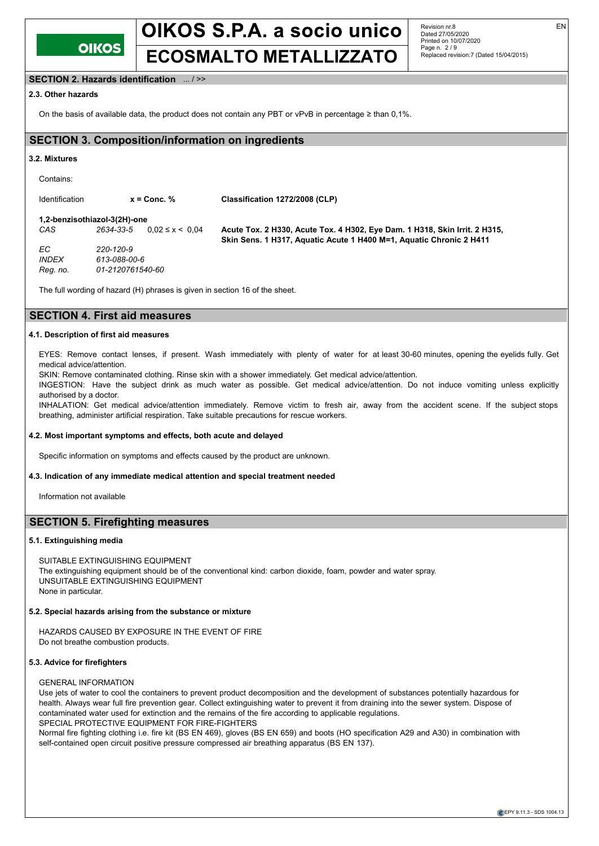

# **ECOSMALTO METALLIZZATO**

Revision nr.8 Dated 27/05/2020 Printed on 10/07/2020 Page n. 2 / 9 Replaced revision:7 (Dated 15/04/2015)

### **SECTION 2. Hazards identification** ... / >>

### **2.3. Other hazards**

On the basis of available data, the product does not contain any PBT or vPvB in percentage ≥ than 0,1%.

# **SECTION 3. Composition/information on ingredients**

#### **3.2. Mixtures**

Contains:

Identification **x = Conc. % Classification 1272/2008 (CLP) 1,2-benzisothiazol-3(2H)-one**<br>CAS 2634-33-5 0 02 ≤ x < 0 04 *CAS 2634-33-5* 0,02 ≤ x < 0,04 **Acute Tox. 2 H330, Acute Tox. 4 H302, Eye Dam. 1 H318, Skin Irrit. 2 H315, Skin Sens. 1 H317, Aquatic Acute 1 H400 M=1, Aquatic Chronic 2 H411** *EC 220-120-9 INDEX 613-088-00-6 Reg. no. 01-2120761540-60*

The full wording of hazard (H) phrases is given in section 16 of the sheet.

# **SECTION 4. First aid measures**

#### **4.1. Description of first aid measures**

EYES: Remove contact lenses, if present. Wash immediately with plenty of water for at least 30-60 minutes, opening the eyelids fully. Get medical advice/attention.

SKIN: Remove contaminated clothing. Rinse skin with a shower immediately. Get medical advice/attention.

INGESTION: Have the subject drink as much water as possible. Get medical advice/attention. Do not induce vomiting unless explicitly authorised by a doctor.

INHALATION: Get medical advice/attention immediately. Remove victim to fresh air, away from the accident scene. If the subject stops breathing, administer artificial respiration. Take suitable precautions for rescue workers.

#### **4.2. Most important symptoms and effects, both acute and delayed**

Specific information on symptoms and effects caused by the product are unknown.

#### **4.3. Indication of any immediate medical attention and special treatment needed**

Information not available

### **SECTION 5. Firefighting measures**

#### **5.1. Extinguishing media**

None in particular.

SUITABLE EXTINGUISHING EQUIPMENT The extinguishing equipment should be of the conventional kind: carbon dioxide, foam, powder and water spray. UNSUITABLE EXTINGUISHING EQUIPMENT

#### **5.2. Special hazards arising from the substance or mixture**

HAZARDS CAUSED BY EXPOSURE IN THE EVENT OF FIRE Do not breathe combustion products.

#### **5.3. Advice for firefighters**

#### GENERAL INFORMATION

Use jets of water to cool the containers to prevent product decomposition and the development of substances potentially hazardous for health. Always wear full fire prevention gear. Collect extinguishing water to prevent it from draining into the sewer system. Dispose of contaminated water used for extinction and the remains of the fire according to applicable regulations. SPECIAL PROTECTIVE EQUIPMENT FOR FIRE-FIGHTERS

Normal fire fighting clothing i.e. fire kit (BS EN 469), gloves (BS EN 659) and boots (HO specification A29 and A30) in combination with self-contained open circuit positive pressure compressed air breathing apparatus (BS EN 137).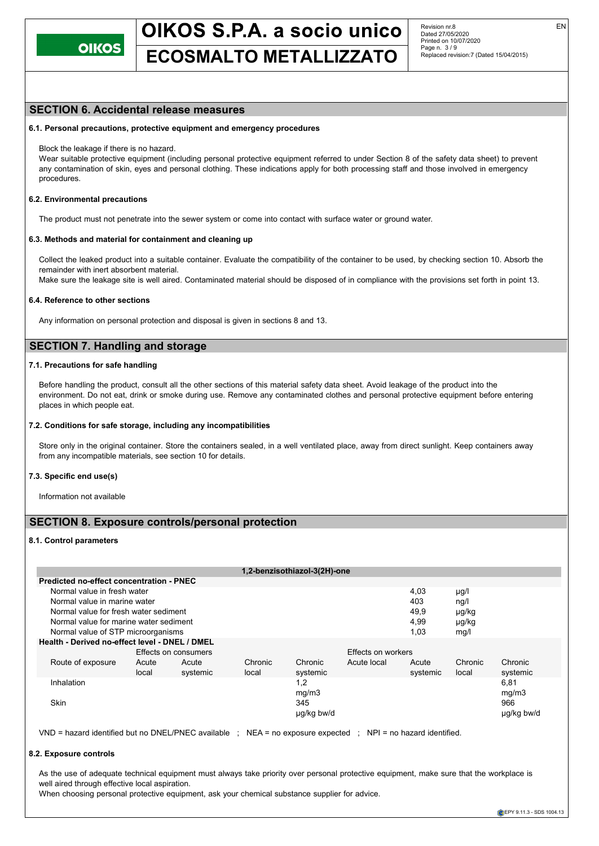# **ECOSMALTO METALLIZZATO**

Revision nr.8 Dated 27/05/2020 Printed on 10/07/2020 Page n. 3 / 9 Replaced revision:7 (Dated 15/04/2015)

### **SECTION 6. Accidental release measures**

#### **6.1. Personal precautions, protective equipment and emergency procedures**

Block the leakage if there is no hazard.

Wear suitable protective equipment (including personal protective equipment referred to under Section 8 of the safety data sheet) to prevent any contamination of skin, eyes and personal clothing. These indications apply for both processing staff and those involved in emergency procedures.

#### **6.2. Environmental precautions**

The product must not penetrate into the sewer system or come into contact with surface water or ground water.

#### **6.3. Methods and material for containment and cleaning up**

Collect the leaked product into a suitable container. Evaluate the compatibility of the container to be used, by checking section 10. Absorb the remainder with inert absorbent material.

Make sure the leakage site is well aired. Contaminated material should be disposed of in compliance with the provisions set forth in point 13.

#### **6.4. Reference to other sections**

Any information on personal protection and disposal is given in sections 8 and 13.

## **SECTION 7. Handling and storage**

#### **7.1. Precautions for safe handling**

Before handling the product, consult all the other sections of this material safety data sheet. Avoid leakage of the product into the environment. Do not eat, drink or smoke during use. Remove any contaminated clothes and personal protective equipment before entering places in which people eat.

#### **7.2. Conditions for safe storage, including any incompatibilities**

Store only in the original container. Store the containers sealed, in a well ventilated place, away from direct sunlight. Keep containers away from any incompatible materials, see section 10 for details.

#### **7.3. Specific end use(s)**

Information not available

## **SECTION 8. Exposure controls/personal protection**

#### **8.1. Control parameters**

|                                          |                                                |       |          |         | 1,2-benzisothiazol-3(2H)-one |             |          |         |            |  |
|------------------------------------------|------------------------------------------------|-------|----------|---------|------------------------------|-------------|----------|---------|------------|--|
| Predicted no-effect concentration - PNEC |                                                |       |          |         |                              |             |          |         |            |  |
|                                          | Normal value in fresh water                    |       |          |         |                              |             | 4,03     | µg/l    |            |  |
|                                          | Normal value in marine water                   |       |          |         |                              |             | 403      | ng/l    |            |  |
|                                          | Normal value for fresh water sediment          |       |          |         |                              |             | 49.9     | µg/kg   |            |  |
|                                          | Normal value for marine water sediment         |       |          |         |                              |             | 4,99     | µg/kg   |            |  |
| Normal value of STP microorganisms       |                                                |       |          |         |                              | 1,03        | mg/l     |         |            |  |
|                                          | Health - Derived no-effect level - DNEL / DMEL |       |          |         |                              |             |          |         |            |  |
| Effects on consumers                     |                                                |       |          |         | Effects on workers           |             |          |         |            |  |
|                                          | Route of exposure                              | Acute | Acute    | Chronic | Chronic                      | Acute local | Acute    | Chronic | Chronic    |  |
|                                          |                                                | local | systemic | local   | systemic                     |             | systemic | local   | systemic   |  |
|                                          | Inhalation                                     |       |          |         | 1,2                          |             |          |         | 6,81       |  |
|                                          |                                                |       |          |         | mg/m3                        |             |          |         | mg/m3      |  |
|                                          | <b>Skin</b>                                    |       |          |         | 345                          |             |          |         | 966        |  |
|                                          |                                                |       |          |         | ug/kg bw/d                   |             |          |         | ug/kg bw/d |  |

VND = hazard identified but no DNEL/PNEC available ; NEA = no exposure expected ; NPI = no hazard identified.

#### **8.2. Exposure controls**

As the use of adequate technical equipment must always take priority over personal protective equipment, make sure that the workplace is well aired through effective local aspiration.

When choosing personal protective equipment, ask your chemical substance supplier for advice.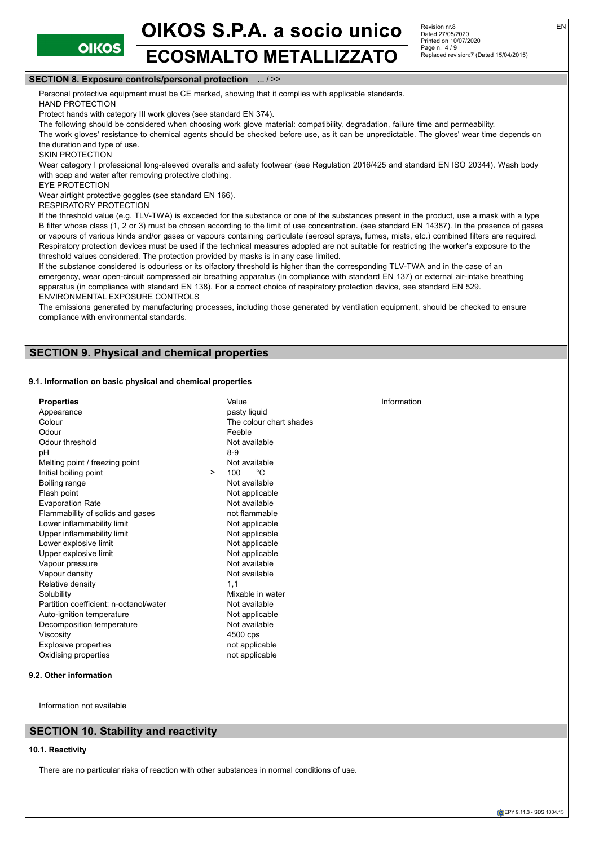**OIKOS** 

# **ECOSMALTO METALLIZZATO**

Revision nr.8 Dated 27/05/2020 Printed on 10/07/2020 Page n. 4 / 9 Replaced revision:7 (Dated 15/04/2015)

#### **SECTION 8. Exposure controls/personal protection** ... / >>

Personal protective equipment must be CE marked, showing that it complies with applicable standards.

HAND PROTECTION

Protect hands with category III work gloves (see standard EN 374).

The following should be considered when choosing work glove material: compatibility, degradation, failure time and permeability. The work gloves' resistance to chemical agents should be checked before use, as it can be unpredictable. The gloves' wear time depends on the duration and type of use.

SKIN PROTECTION

Wear category I professional long-sleeved overalls and safety footwear (see Regulation 2016/425 and standard EN ISO 20344). Wash body with soap and water after removing protective clothing.

EYE PROTECTION

Wear airtight protective goggles (see standard EN 166).

RESPIRATORY PROTECTION

If the threshold value (e.g. TLV-TWA) is exceeded for the substance or one of the substances present in the product, use a mask with a type B filter whose class (1, 2 or 3) must be chosen according to the limit of use concentration. (see standard EN 14387). In the presence of gases or vapours of various kinds and/or gases or vapours containing particulate (aerosol sprays, fumes, mists, etc.) combined filters are required. Respiratory protection devices must be used if the technical measures adopted are not suitable for restricting the worker's exposure to the threshold values considered. The protection provided by masks is in any case limited.

If the substance considered is odourless or its olfactory threshold is higher than the corresponding TLV-TWA and in the case of an emergency, wear open-circuit compressed air breathing apparatus (in compliance with standard EN 137) or external air-intake breathing apparatus (in compliance with standard EN 138). For a correct choice of respiratory protection device, see standard EN 529. ENVIRONMENTAL EXPOSURE CONTROLS

The emissions generated by manufacturing processes, including those generated by ventilation equipment, should be checked to ensure compliance with environmental standards.

# **SECTION 9. Physical and chemical properties**

#### **9.1. Information on basic physical and chemical properties**

| <b>Properties</b>                      |        | Value                   | Information |
|----------------------------------------|--------|-------------------------|-------------|
| Appearance                             |        | pasty liquid            |             |
| Colour                                 |        | The colour chart shades |             |
| Odour                                  |        | Feeble                  |             |
| Odour threshold                        |        | Not available           |             |
| рH                                     |        | $8-9$                   |             |
| Melting point / freezing point         |        | Not available           |             |
| Initial boiling point                  | $\geq$ | °C<br>100               |             |
| Boiling range                          |        | Not available           |             |
| Flash point                            |        | Not applicable          |             |
| <b>Evaporation Rate</b>                |        | Not available           |             |
| Flammability of solids and gases       |        | not flammable           |             |
| Lower inflammability limit             |        | Not applicable          |             |
| Upper inflammability limit             |        | Not applicable          |             |
| Lower explosive limit                  |        | Not applicable          |             |
| Upper explosive limit                  |        | Not applicable          |             |
| Vapour pressure                        |        | Not available           |             |
| Vapour density                         |        | Not available           |             |
| Relative density                       |        | 1.1                     |             |
| Solubility                             |        | Mixable in water        |             |
| Partition coefficient: n-octanol/water |        | Not available           |             |
| Auto-ignition temperature              |        | Not applicable          |             |
| Decomposition temperature              |        | Not available           |             |
| Viscosity                              |        | 4500 cps                |             |
| Explosive properties                   |        | not applicable          |             |
| Oxidising properties                   |        | not applicable          |             |
|                                        |        |                         |             |

#### **9.2. Other information**

Information not available

# **SECTION 10. Stability and reactivity**

#### **10.1. Reactivity**

There are no particular risks of reaction with other substances in normal conditions of use.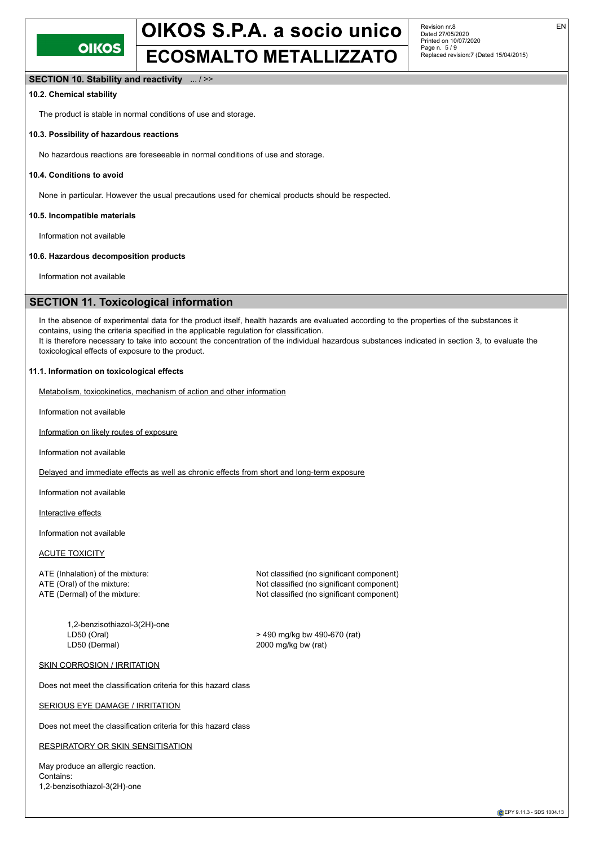

# OIKOS S.P.A. a socio unico **ECOSMALTO METALLIZZATO**

Revision nr.8 Dated 27/05/2020 Printed on 10/07/2020 Page n. 5 / 9 Replaced revision:7 (Dated 15/04/2015) EN

#### **SECTION 10. Stability and reactivity** ... / >>

#### **10.2. Chemical stability**

The product is stable in normal conditions of use and storage.

#### **10.3. Possibility of hazardous reactions**

No hazardous reactions are foreseeable in normal conditions of use and storage.

#### **10.4. Conditions to avoid**

None in particular. However the usual precautions used for chemical products should be respected.

#### **10.5. Incompatible materials**

Information not available

#### **10.6. Hazardous decomposition products**

Information not available

## **SECTION 11. Toxicological information**

In the absence of experimental data for the product itself, health hazards are evaluated according to the properties of the substances it contains, using the criteria specified in the applicable regulation for classification. It is therefore necessary to take into account the concentration of the individual hazardous substances indicated in section 3, to evaluate the toxicological effects of exposure to the product.

#### **11.1. Information on toxicological effects**

Metabolism, toxicokinetics, mechanism of action and other information

Information not available

Information on likely routes of exposure

Information not available

Delayed and immediate effects as well as chronic effects from short and long-term exposure

Information not available

Interactive effects

Information not available

### ACUTE TOXICITY

1,2-benzisothiazol-3(2H)-one LD50 (Oral) > 490 mg/kg bw 490-670 (rat) LD50 (Dermal) 2000 mg/kg bw (rat)

ATE (Inhalation) of the mixture: Not classified (no significant component) ATE (Oral) of the mixture: Not classified (no significant component) ATE (Dermal) of the mixture: Not classified (no significant component)

#### **SKIN CORROSION / IRRITATION**

Does not meet the classification criteria for this hazard class

#### SERIOUS EYE DAMAGE / IRRITATION

Does not meet the classification criteria for this hazard class

#### RESPIRATORY OR SKIN SENSITISATION

May produce an allergic reaction. Contains: 1,2-benzisothiazol-3(2H)-one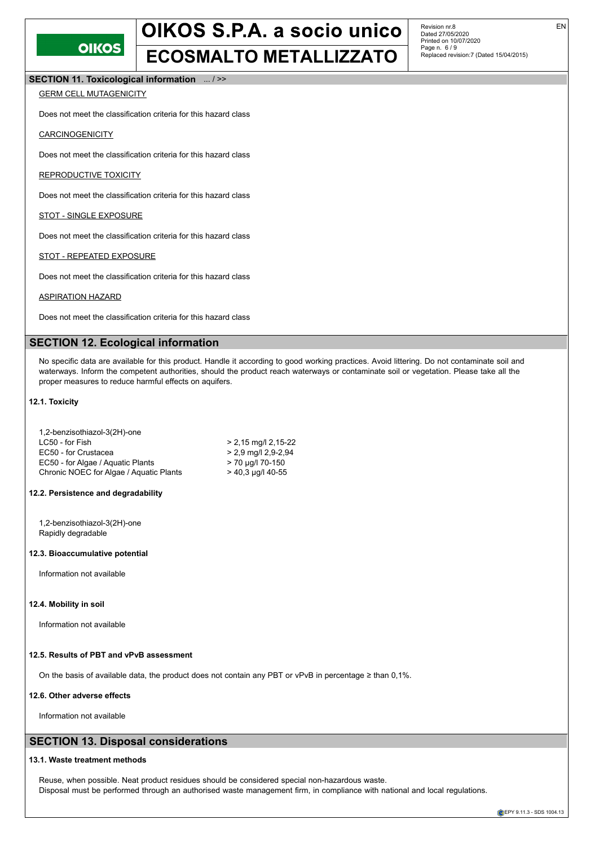

# OIKOS S.P.A. a socio unico **ECOSMALTO METALLIZZATO**

Revision nr.8 Dated 27/05/2020 Printed on 10/07/2020 Page n. 6 / 9 Replaced revision:7 (Dated 15/04/2015)

**SECTION 11. Toxicological information** ... / >>

### GERM CELL MUTAGENICITY

Does not meet the classification criteria for this hazard class

#### **CARCINOGENICITY**

Does not meet the classification criteria for this hazard class

#### REPRODUCTIVE TOXICITY

Does not meet the classification criteria for this hazard class

#### STOT - SINGLE EXPOSURE

Does not meet the classification criteria for this hazard class

#### STOT - REPEATED EXPOSURE

Does not meet the classification criteria for this hazard class

#### ASPIRATION HAZARD

Does not meet the classification criteria for this hazard class

## **SECTION 12. Ecological information**

No specific data are available for this product. Handle it according to good working practices. Avoid littering. Do not contaminate soil and waterways. Inform the competent authorities, should the product reach waterways or contaminate soil or vegetation. Please take all the proper measures to reduce harmful effects on aquifers.

#### **12.1. Toxicity**

| 1,2-benzisothiazol-3(2H)-one            |                       |
|-----------------------------------------|-----------------------|
| LC50 - for Fish                         | $> 2,15$ mg/l 2,15-22 |
| EC50 - for Crustacea                    | $> 2.9$ mg/l 2.9-2.94 |
| EC50 - for Algae / Aguatic Plants       | > 70 µg/l 70-150      |
| Chronic NOEC for Algae / Aquatic Plants | $>$ 40,3 µg/l 40-55   |

# **12.2. Persistence and degradability**

1,2-benzisothiazol-3(2H)-one Rapidly degradable

#### **12.3. Bioaccumulative potential**

Information not available

#### **12.4. Mobility in soil**

Information not available

### **12.5. Results of PBT and vPvB assessment**

On the basis of available data, the product does not contain any PBT or vPvB in percentage ≥ than 0,1%.

#### **12.6. Other adverse effects**

Information not available

# **SECTION 13. Disposal considerations**

#### **13.1. Waste treatment methods**

Reuse, when possible. Neat product residues should be considered special non-hazardous waste. Disposal must be performed through an authorised waste management firm, in compliance with national and local regulations.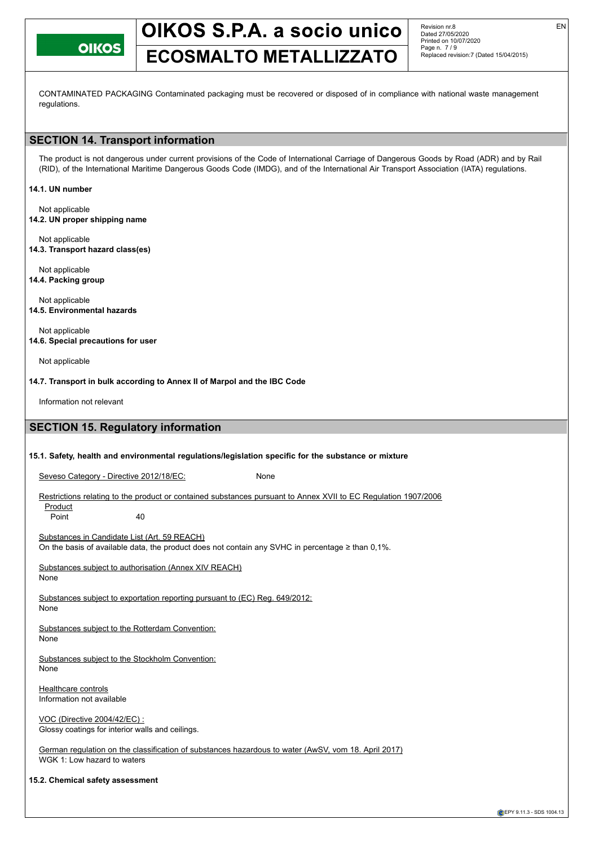**OIKOS** 

# OIKOS S.P.A. a socio unico

Revision nr.8 Dated 27/05/2020 Printed on 10/07/2020 Page n. 7 / 9 Replaced revision:7 (Dated 15/04/2015)

# **ECOSMALTO METALLIZZATO**

CONTAMINATED PACKAGING Contaminated packaging must be recovered or disposed of in compliance with national waste management regulations.

# **SECTION 14. Transport information**

The product is not dangerous under current provisions of the Code of International Carriage of Dangerous Goods by Road (ADR) and by Rail (RID), of the International Maritime Dangerous Goods Code (IMDG), and of the International Air Transport Association (IATA) regulations.

#### **14.1. UN number**

Not applicable **14.2. UN proper shipping name**

Not applicable **14.3. Transport hazard class(es)**

Not applicable **14.4. Packing group**

Not applicable **14.5. Environmental hazards**

Not applicable **14.6. Special precautions for user**

Not applicable

**14.7. Transport in bulk according to Annex II of Marpol and the IBC Code**

Information not relevant

# **SECTION 15. Regulatory information**

#### **15.1. Safety, health and environmental regulations/legislation specific for the substance or mixture**

Seveso Category - Directive 2012/18/EC: None

Restrictions relating to the product or contained substances pursuant to Annex XVII to EC Regulation 1907/2006 **Product** 

Point 40

Substances in Candidate List (Art. 59 REACH) On the basis of available data, the product does not contain any SVHC in percentage ≥ than 0,1%.

Substances subject to authorisation (Annex XIV REACH) None

Substances subject to exportation reporting pursuant to (EC) Reg. 649/2012:

None

Substances subject to the Rotterdam Convention: None

Substances subject to the Stockholm Convention: None

**Healthcare controls** Information not available

VOC (Directive 2004/42/EC) : Glossy coatings for interior walls and ceilings.

German regulation on the classification of substances hazardous to water (AwSV, vom 18. April 2017) WGK 1: Low hazard to waters

**15.2. Chemical safety assessment**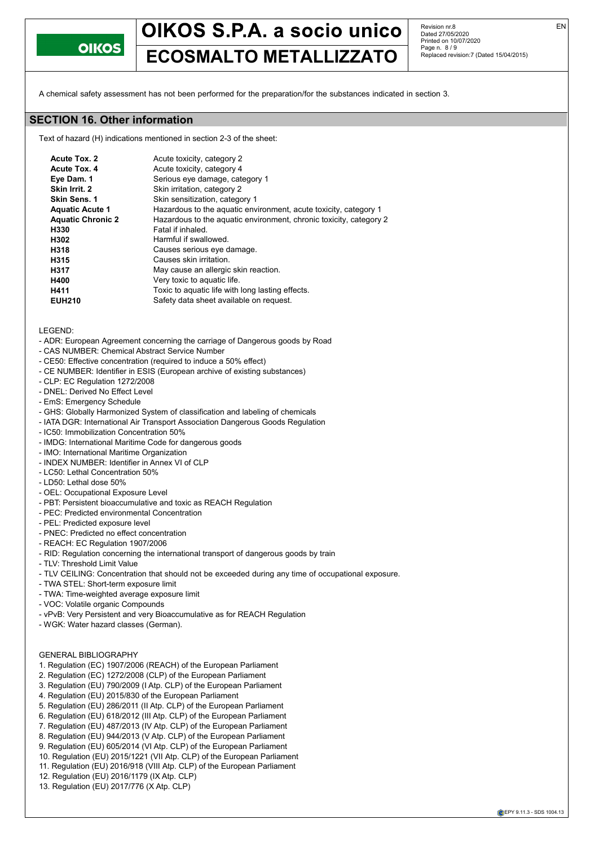

# OIKOS S.P.A. a socio unico **ECOSMALTO METALLIZZATO**

Revision nr.8 Dated 27/05/2020 Printed on 10/07/2020 Page n. 8 / 9 Replaced revision:7 (Dated 15/04/2015)

A chemical safety assessment has not been performed for the preparation/for the substances indicated in section 3.

### **SECTION 16. Other information**

Text of hazard (H) indications mentioned in section 2-3 of the sheet:

| Acute Tox. 2             | Acute toxicity, category 2                                         |
|--------------------------|--------------------------------------------------------------------|
| Acute Tox. 4             | Acute toxicity, category 4                                         |
| Eye Dam. 1               | Serious eye damage, category 1                                     |
| Skin Irrit. 2            | Skin irritation, category 2                                        |
| Skin Sens. 1             | Skin sensitization, category 1                                     |
| <b>Aquatic Acute 1</b>   | Hazardous to the aquatic environment, acute toxicity, category 1   |
| <b>Aquatic Chronic 2</b> | Hazardous to the aquatic environment, chronic toxicity, category 2 |
| H330                     | Fatal if inhaled.                                                  |
| H302                     | Harmful if swallowed.                                              |
| H318                     | Causes serious eye damage.                                         |
| H315                     | Causes skin irritation.                                            |
| H317                     | May cause an allergic skin reaction.                               |
| H400                     | Very toxic to aquatic life.                                        |
| H411                     | Toxic to aquatic life with long lasting effects.                   |
| <b>EUH210</b>            | Safety data sheet available on request.                            |
|                          |                                                                    |

LEGEND:

- ADR: European Agreement concerning the carriage of Dangerous goods by Road
- CAS NUMBER: Chemical Abstract Service Number
- CE50: Effective concentration (required to induce a 50% effect)
- CE NUMBER: Identifier in ESIS (European archive of existing substances)
- CLP: EC Regulation 1272/2008
- DNEL: Derived No Effect Level
- EmS: Emergency Schedule
- GHS: Globally Harmonized System of classification and labeling of chemicals
- IATA DGR: International Air Transport Association Dangerous Goods Regulation
- IC50: Immobilization Concentration 50%
- IMDG: International Maritime Code for dangerous goods
- IMO: International Maritime Organization
- INDEX NUMBER: Identifier in Annex VI of CLP
- LC50: Lethal Concentration 50%
- LD50: Lethal dose 50%
- OEL: Occupational Exposure Level
- PBT: Persistent bioaccumulative and toxic as REACH Regulation
- PEC: Predicted environmental Concentration
- PEL: Predicted exposure level
- PNEC: Predicted no effect concentration
- REACH: EC Regulation 1907/2006
- RID: Regulation concerning the international transport of dangerous goods by train
- TLV: Threshold Limit Value
- TLV CEILING: Concentration that should not be exceeded during any time of occupational exposure.
- TWA STEL: Short-term exposure limit
- TWA: Time-weighted average exposure limit
- VOC: Volatile organic Compounds
- vPvB: Very Persistent and very Bioaccumulative as for REACH Regulation
- WGK: Water hazard classes (German).

#### GENERAL BIBLIOGRAPHY

- 1. Regulation (EC) 1907/2006 (REACH) of the European Parliament
- 2. Regulation (EC) 1272/2008 (CLP) of the European Parliament
- 3. Regulation (EU) 790/2009 (I Atp. CLP) of the European Parliament
- 4. Regulation (EU) 2015/830 of the European Parliament
- 5. Regulation (EU) 286/2011 (II Atp. CLP) of the European Parliament
- 6. Regulation (EU) 618/2012 (III Atp. CLP) of the European Parliament
- 7. Regulation (EU) 487/2013 (IV Atp. CLP) of the European Parliament
- 8. Regulation (EU) 944/2013 (V Atp. CLP) of the European Parliament
- 9. Regulation (EU) 605/2014 (VI Atp. CLP) of the European Parliament
- 10. Regulation (EU) 2015/1221 (VII Atp. CLP) of the European Parliament
- 11. Regulation (EU) 2016/918 (VIII Atp. CLP) of the European Parliament
- 12. Regulation (EU) 2016/1179 (IX Atp. CLP)
- 13. Regulation (EU) 2017/776 (X Atp. CLP)